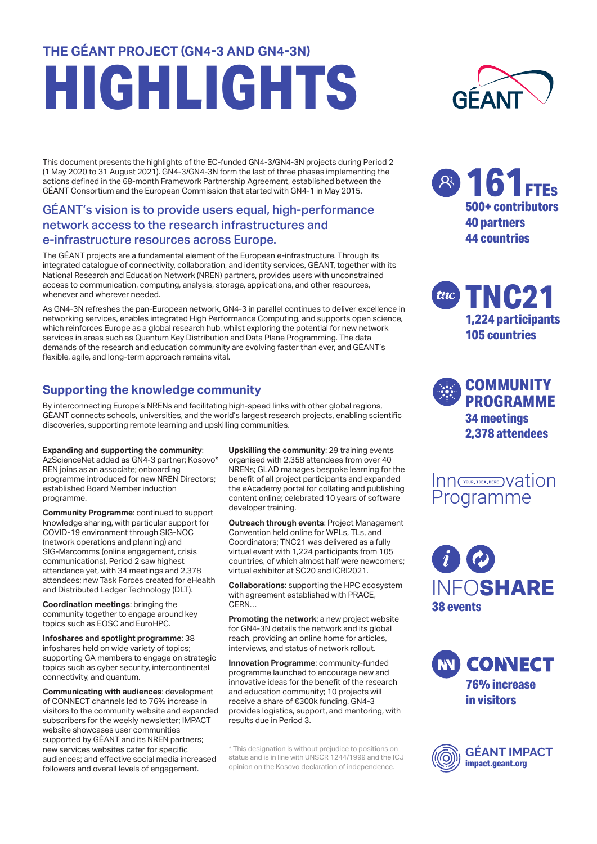# **THE GÉANT PROJECT (GN4-3 AND GN4-3N) HIGHLIGHTS**

This document presents the highlights of the EC-funded GN4-3/GN4-3N projects during Period 2 (1 May 2020 to 31 August 2021). GN4-3/GN4-3N form the last of three phases implementing the actions defined in the 68-month Framework Partnership Agreement, established between the GÉANT Consortium and the European Commission that started with GN4-1 in May 2015.

## GÉANT's vision is to provide users equal, high-performance network access to the research infrastructures and e-infrastructure resources across Europe.

The GÉANT projects are a fundamental element of the European e-infrastructure. Through its integrated catalogue of connectivity, collaboration, and identity services, GÉANT, together with its National Research and Education Network (NREN) partners, provides users with unconstrained access to communication, computing, analysis, storage, applications, and other resources, whenever and wherever needed.

As GN4-3N refreshes the pan-European network, GN4-3 in parallel continues to deliver excellence in networking services, enables integrated High Performance Computing, and supports open science, which reinforces Europe as a global research hub, whilst exploring the potential for new network services in areas such as Quantum Key Distribution and Data Plane Programming. The data demands of the research and education community are evolving faster than ever, and GÉANT's flexible, agile, and long-term approach remains vital.

## **Supporting the knowledge community**

By interconnecting Europe's NRENs and facilitating high-speed links with other global regions, GÉANT connects schools, universities, and the world's largest research projects, enabling scientific discoveries, supporting remote learning and upskilling communities.

#### **Expanding and supporting the community**:

AzScienceNet added as GN4-3 partner; Kosovo\* REN joins as an associate; onboarding programme introduced for new NREN Directors; established Board Member induction programme.

**Community Programme**: continued to support knowledge sharing, with particular support for COVID-19 environment through SIG-NOC (network operations and planning) and SIG-Marcomms (online engagement, crisis communications). Period 2 saw highest attendance yet, with 34 meetings and 2,378 attendees; new Task Forces created for eHealth and Distributed Ledger Technology (DLT).

**Coordination meetings**: bringing the community together to engage around key topics such as EOSC and EuroHPC.

**Infoshares and spotlight programme**: 38 infoshares held on wide variety of topics; supporting GA members to engage on strategic topics such as cyber security, intercontinental connectivity, and quantum.

**Communicating with audiences**: development of CONNECT channels led to 76% increase in visitors to the community website and expanded subscribers for the weekly newsletter; IMPACT website showcases user communities supported by GÉANT and its NREN partners; new services websites cater for specific audiences; and effective social media increased followers and overall levels of engagement.

**Upskilling the community**: 29 training events organised with 2,358 attendees from over 40 NRENs; GLAD manages bespoke learning for the benefit of all project participants and expanded the eAcademy portal for collating and publishing content online; celebrated 10 years of software developer training.

**Outreach through events**: Project Management Convention held online for WPLs, TLs, and Coordinators; TNC21 was delivered as a fully virtual event with 1,224 participants from 105 countries, of which almost half were newcomers; virtual exhibitor at SC20 and ICRI2021.

**Collaborations**: supporting the HPC ecosystem with agreement established with PRACE, CERN…

**Promoting the network**: a new project website for GN4-3N details the network and its global reach, providing an online home for articles, interviews, and status of network rollout.

**Innovation Programme**: community-funded programme launched to encourage new and innovative ideas for the benefit of the research and education community; 10 projects will receive a share of €300k funding. GN4-3 provides logistics, support, and mentoring, with results due in Period 3.

\* This designation is without prejudice to positions on status and is in line with UNSCR 1244/1999 and the ICJ opinion on the Kosovo declaration of independence.



**161FTEs 500+ contributors 40 partners 44 countries**

**TNC21 1,224 participants 105 countries**

**COMMUNITY PROGRAMME 34 meetings 2,378 attendees**